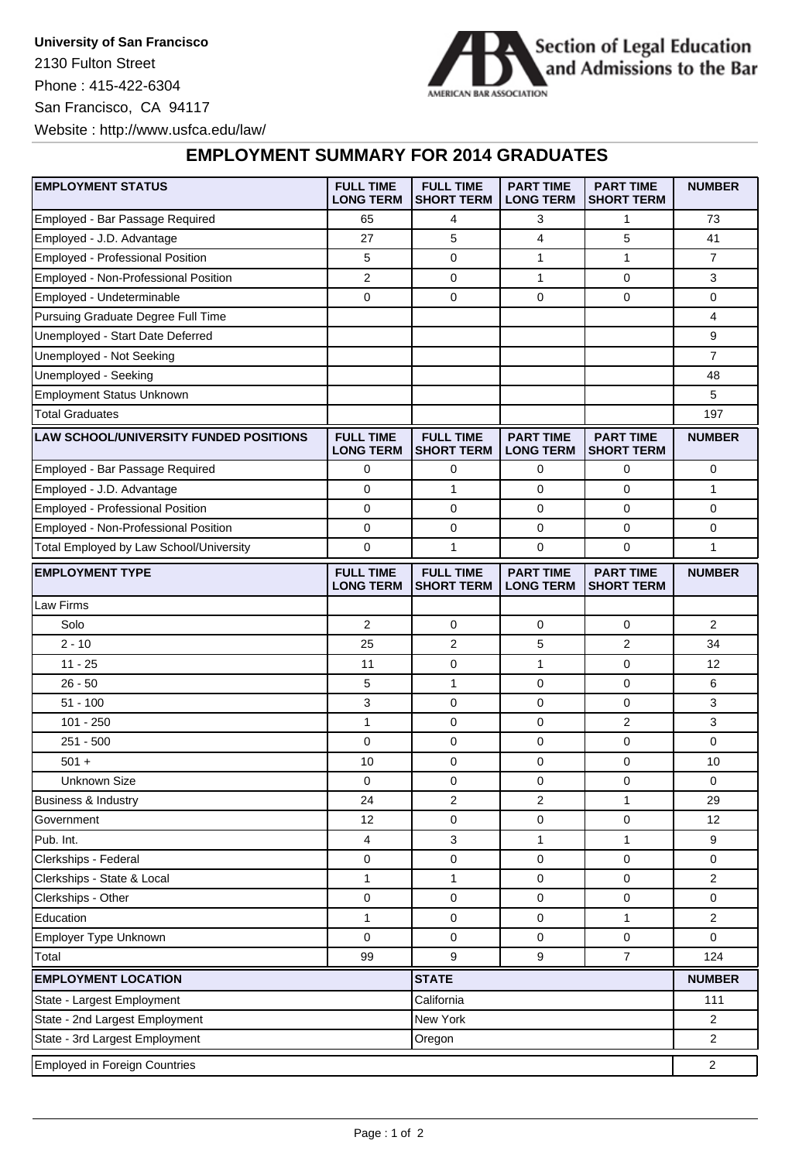**University of San Francisco** 2130 Fulton Street Phone : 415-422-6304 San Francisco, CA 94117 Website : http://www.usfca.edu/law/



## **EMPLOYMENT SUMMARY FOR 2014 GRADUATES**

| <b>EMPLOYMENT STATUS</b>                      | <b>FULL TIME</b><br><b>LONG TERM</b> | <b>FULL TIME</b><br><b>SHORT TERM</b> | <b>PART TIME</b><br><b>LONG TERM</b> | <b>PART TIME</b><br><b>SHORT TERM</b> | <b>NUMBER</b>  |
|-----------------------------------------------|--------------------------------------|---------------------------------------|--------------------------------------|---------------------------------------|----------------|
| Employed - Bar Passage Required               | 65                                   | 4                                     | 3                                    | 1                                     | 73             |
| Employed - J.D. Advantage                     | 27                                   | 5                                     | 4                                    | 5                                     | 41             |
| Employed - Professional Position              | 5                                    | 0                                     | 1                                    | $\mathbf{1}$                          | $\overline{7}$ |
| Employed - Non-Professional Position          | 2                                    | 0                                     | 1                                    | 0                                     | 3              |
| Employed - Undeterminable                     | 0                                    | 0                                     | 0                                    | 0                                     | 0              |
| Pursuing Graduate Degree Full Time            |                                      |                                       |                                      |                                       | 4              |
| Unemployed - Start Date Deferred              |                                      |                                       |                                      |                                       | 9              |
| Unemployed - Not Seeking                      |                                      |                                       |                                      |                                       | $\overline{7}$ |
| Unemployed - Seeking                          |                                      |                                       |                                      |                                       | 48             |
| <b>Employment Status Unknown</b>              |                                      |                                       |                                      |                                       | 5              |
| <b>Total Graduates</b>                        |                                      |                                       |                                      |                                       | 197            |
| <b>LAW SCHOOL/UNIVERSITY FUNDED POSITIONS</b> | <b>FULL TIME</b><br><b>LONG TERM</b> | <b>FULL TIME</b><br><b>SHORT TERM</b> | <b>PART TIME</b><br><b>LONG TERM</b> | <b>PART TIME</b><br><b>SHORT TERM</b> | <b>NUMBER</b>  |
| Employed - Bar Passage Required               | 0                                    | 0                                     | 0                                    | 0                                     | 0              |
| Employed - J.D. Advantage                     | 0                                    | $\mathbf{1}$                          | 0                                    | 0                                     | 1              |
| Employed - Professional Position              | $\mathbf 0$                          | 0                                     | $\mathbf 0$                          | 0                                     | 0              |
| Employed - Non-Professional Position          | 0                                    | 0                                     | $\mathbf 0$                          | 0                                     | 0              |
| Total Employed by Law School/University       | $\mathbf 0$                          | 1                                     | $\mathbf 0$                          | 0                                     | 1              |
| <b>EMPLOYMENT TYPE</b>                        | <b>FULL TIME</b><br><b>LONG TERM</b> | <b>FULL TIME</b><br><b>SHORT TERM</b> | <b>PART TIME</b><br><b>LONG TERM</b> | <b>PART TIME</b><br><b>SHORT TERM</b> | <b>NUMBER</b>  |
| Law Firms                                     |                                      |                                       |                                      |                                       |                |
| Solo                                          | 2                                    | 0                                     | 0                                    | 0                                     | 2              |
| $2 - 10$                                      | 25                                   | 2                                     | 5                                    | $\overline{2}$                        | 34             |
| $11 - 25$                                     | 11                                   | 0                                     | 1                                    | 0                                     | 12             |
| $26 - 50$                                     | 5                                    | $\mathbf{1}$                          | 0                                    | 0                                     | 6              |
| $51 - 100$                                    | 3                                    | 0                                     | 0                                    | 0                                     | 3              |
| $101 - 250$                                   | $\mathbf{1}$                         | 0                                     | 0                                    | 2                                     | 3              |
| $251 - 500$                                   | 0                                    | 0                                     | 0                                    | 0                                     | 0              |
| $501 +$                                       | 10                                   | $\mathbf 0$                           | $\mathbf 0$                          | 0                                     | 10             |
| <b>Unknown Size</b>                           | 0                                    | 0                                     | $\mathbf 0$                          | 0                                     | 0              |
| Business & Industry                           | 24                                   | 2                                     | 2                                    | 1                                     | 29             |
| Government                                    | 12                                   | $\mathbf 0$                           | $\mathbf 0$                          | 0                                     | 12             |
| Pub. Int.                                     | 4                                    | 3                                     | 1                                    | 1                                     | 9              |
| Clerkships - Federal                          | $\mathbf 0$                          | 0                                     | $\mathbf 0$                          | 0                                     | 0              |
| Clerkships - State & Local                    | 1                                    | 1                                     | $\pmb{0}$                            | 0                                     | $\overline{2}$ |
| Clerkships - Other                            | 0                                    | 0                                     | $\pmb{0}$                            | 0                                     | $\pmb{0}$      |
| Education                                     | 1                                    | 0                                     | $\mathbf 0$                          | 1                                     | $\overline{2}$ |
| Employer Type Unknown                         | $\mathbf 0$                          | 0                                     | 0                                    | 0                                     | $\mathbf 0$    |
| Total                                         | 99                                   | 9                                     | 9                                    | $\overline{7}$                        | 124            |
| <b>EMPLOYMENT LOCATION</b>                    |                                      | <b>STATE</b>                          |                                      |                                       | <b>NUMBER</b>  |
| State - Largest Employment                    |                                      | California                            |                                      |                                       | 111            |
| State - 2nd Largest Employment                |                                      |                                       | New York                             |                                       |                |
| State - 3rd Largest Employment<br>Oregon      |                                      |                                       |                                      |                                       | $\overline{2}$ |
| <b>Employed in Foreign Countries</b>          |                                      |                                       |                                      |                                       |                |